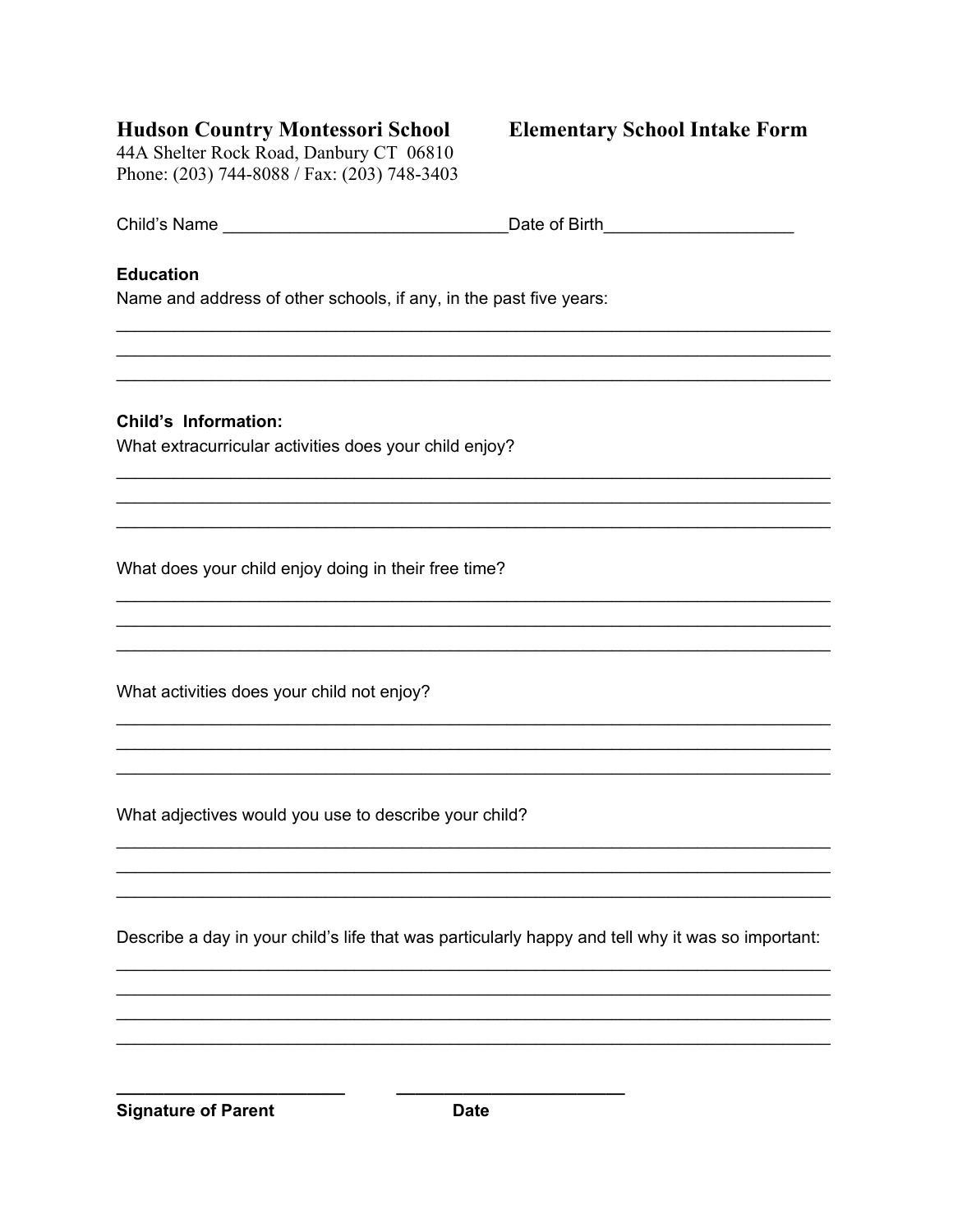## **Hudson Country Montessori School**

44A Shelter Rock Road, Danbury CT 06810 Phone: (203) 744-8088 / Fax: (203) 748-3403

## **Elementary School Intake Form**

| Child's Name | Date of Birth |
|--------------|---------------|
|              |               |

## **Education**

Name and address of other schools, if any, in the past five years:

**Child's Information:** 

What extracurricular activities does your child enjoy?

What does your child enjoy doing in their free time?

What activities does your child not enjoy?

What adjectives would you use to describe your child?

Describe a day in your child's life that was particularly happy and tell why it was so important:

**Signature of Parent**